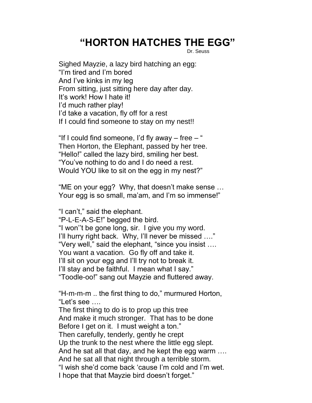## **"HORTON HATCHES THE EGG"**

Dr. Seuss

Sighed Mayzie, a lazy bird hatching an egg: "I'm tired and I'm bored And I've kinks in my leg From sitting, just sitting here day after day. It's work! How I hate it! I'd much rather play! I'd take a vacation, fly off for a rest If I could find someone to stay on my nest!!

"If I could find someone, I'd fly away  $-$  free  $-$  " Then Horton, the Elephant, passed by her tree. "Hello!" called the lazy bird, smiling her best. "You've nothing to do and I do need a rest. Would YOU like to sit on the egg in my nest?"

"ME on your egg? Why, that doesn't make sense … Your egg is so small, ma'am, and I'm so immense!"

"I can't," said the elephant.

"P-L-E-A-S-E!" begged the bird.

"I won''t be gone long, sir. I give you my word. I'll hurry right back. Why, I'll never be missed …." "Very well," said the elephant, "since you insist …. You want a vacation. Go fly off and take it. I'll sit on your egg and I'll try not to break it. I'll stay and be faithful. I mean what I say." "Toodle-oo!" sang out Mayzie and fluttered away.

"H-m-m-m .. the first thing to do," murmured Horton, "Let's see ….

The first thing to do is to prop up this tree And make it much stronger. That has to be done Before I get on it. I must weight a ton." Then carefully, tenderly, gently he crept Up the trunk to the nest where the little egg slept. And he sat all that day, and he kept the egg warm …. And he sat all that night through a terrible storm. "I wish she'd come back 'cause I'm cold and I'm wet. I hope that that Mayzie bird doesn't forget."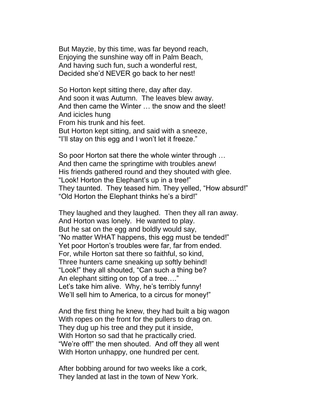But Mayzie, by this time, was far beyond reach, Enjoying the sunshine way off in Palm Beach, And having such fun, such a wonderful rest, Decided she'd NEVER go back to her nest!

So Horton kept sitting there, day after day. And soon it was Autumn. The leaves blew away. And then came the Winter … the snow and the sleet! And icicles hung From his trunk and his feet. But Horton kept sitting, and said with a sneeze, "I'll stay on this egg and I won't let it freeze."

So poor Horton sat there the whole winter through … And then came the springtime with troubles anew! His friends gathered round and they shouted with glee. "Look! Horton the Elephant's up in a tree!" They taunted. They teased him. They yelled, "How absurd!" "Old Horton the Elephant thinks he's a bird!"

They laughed and they laughed. Then they all ran away. And Horton was lonely. He wanted to play. But he sat on the egg and boldly would say, "No matter WHAT happens, this egg must be tended!" Yet poor Horton's troubles were far, far from ended. For, while Horton sat there so faithful, so kind, Three hunters came sneaking up softly behind! "Look!" they all shouted, "Can such a thing be? An elephant sitting on top of a tree…." Let's take him alive. Why, he's terribly funny! We'll sell him to America, to a circus for money!"

And the first thing he knew, they had built a big wagon With ropes on the front for the pullers to drag on. They dug up his tree and they put it inside, With Horton so sad that he practically cried. "We're off!" the men shouted. And off they all went With Horton unhappy, one hundred per cent.

After bobbing around for two weeks like a cork, They landed at last in the town of New York.